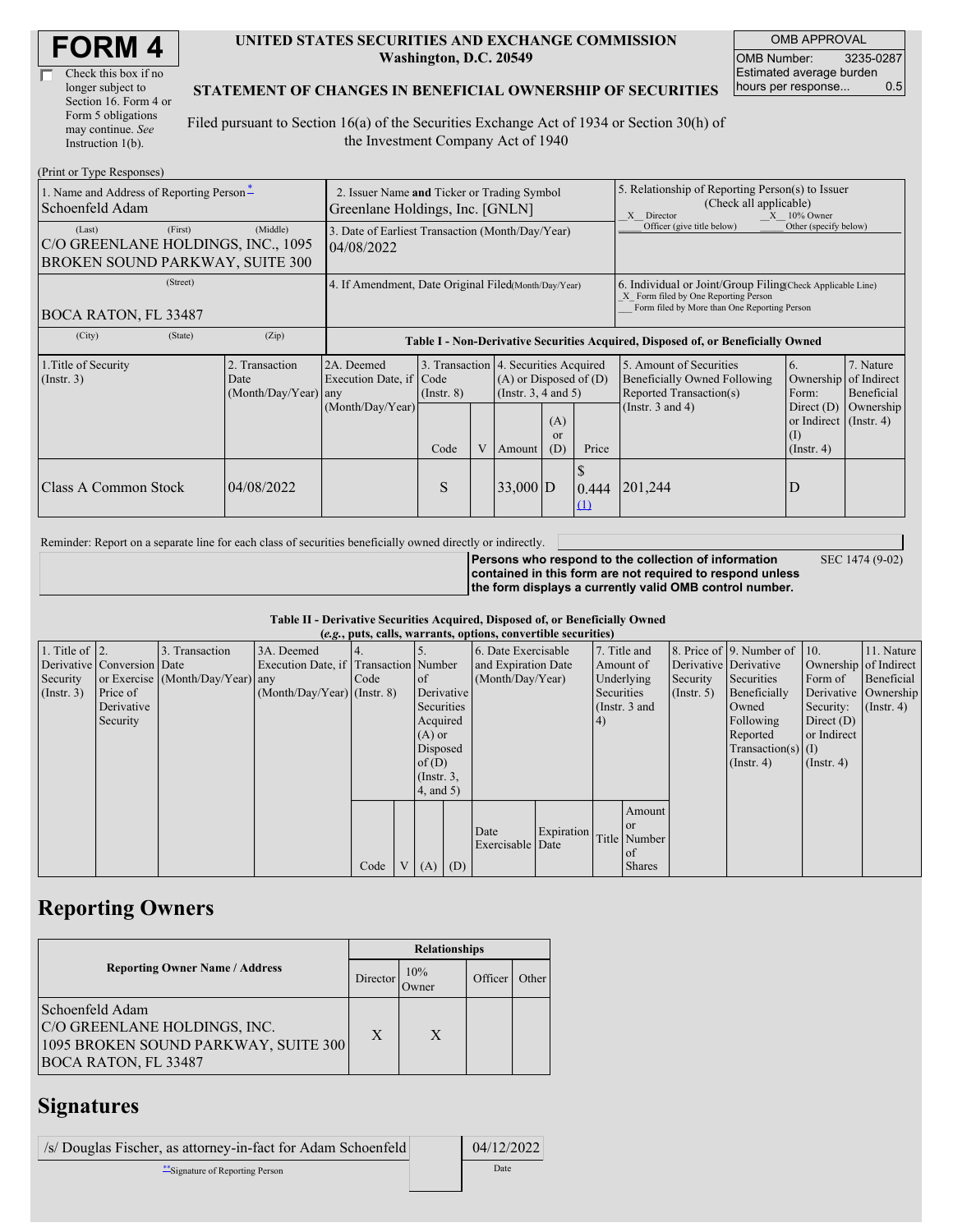| <b>FORM4</b> |
|--------------|
|--------------|

| Check this box if no  |  |
|-----------------------|--|
| longer subject to     |  |
| Section 16. Form 4 or |  |
| Form 5 obligations    |  |
| may continue. See     |  |
| Instruction 1(b).     |  |

#### **UNITED STATES SECURITIES AND EXCHANGE COMMISSION Washington, D.C. 20549**

OMB APPROVAL OMB Number: 3235-0287 Estimated average burden hours per response... 0.5

#### **STATEMENT OF CHANGES IN BENEFICIAL OWNERSHIP OF SECURITIES**

Filed pursuant to Section 16(a) of the Securities Exchange Act of 1934 or Section 30(h) of the Investment Company Act of 1940

| (Print or Type Responses)                                                                  |                                                                                |                                                                                  |                         |   |                                                                                                                                 |                                                                                                              |                                                                                                                                                    |                                                                                                        |                                                                                                                 |                                      |
|--------------------------------------------------------------------------------------------|--------------------------------------------------------------------------------|----------------------------------------------------------------------------------|-------------------------|---|---------------------------------------------------------------------------------------------------------------------------------|--------------------------------------------------------------------------------------------------------------|----------------------------------------------------------------------------------------------------------------------------------------------------|--------------------------------------------------------------------------------------------------------|-----------------------------------------------------------------------------------------------------------------|--------------------------------------|
| 1. Name and Address of Reporting Person-<br>Schoenfeld Adam                                | 2. Issuer Name and Ticker or Trading Symbol<br>Greenlane Holdings, Inc. [GNLN] |                                                                                  |                         |   |                                                                                                                                 | 5. Relationship of Reporting Person(s) to Issuer<br>(Check all applicable)<br>X Director<br>$X = 10\%$ Owner |                                                                                                                                                    |                                                                                                        |                                                                                                                 |                                      |
| (First)<br>(Last)<br>C/O GREENLANE HOLDINGS, INC., 1095<br>BROKEN SOUND PARKWAY, SUITE 300 | (Middle)                                                                       | 3. Date of Earliest Transaction (Month/Day/Year)<br>04/08/2022                   |                         |   |                                                                                                                                 |                                                                                                              |                                                                                                                                                    | Officer (give title below)                                                                             | Other (specify below)                                                                                           |                                      |
| (Street)<br>BOCA RATON, FL 33487                                                           | 4. If Amendment, Date Original Filed(Month/Day/Year)                           |                                                                                  |                         |   |                                                                                                                                 |                                                                                                              | 6. Individual or Joint/Group Filing Check Applicable Line)<br>X Form filed by One Reporting Person<br>Form filed by More than One Reporting Person |                                                                                                        |                                                                                                                 |                                      |
| (City)<br>(State)                                                                          | (Zip)                                                                          | Table I - Non-Derivative Securities Acquired, Disposed of, or Beneficially Owned |                         |   |                                                                                                                                 |                                                                                                              |                                                                                                                                                    |                                                                                                        |                                                                                                                 |                                      |
| 1. Title of Security<br>(Insert. 3)                                                        | 2. Transaction<br>Date<br>$(Month/Day/Year)$ any                               | 2A. Deemed<br>Execution Date, if Code<br>(Month/Day/Year)                        | $($ Instr. $8)$<br>Code | V | 3. Transaction 4. Securities Acquired<br>$(A)$ or Disposed of $(D)$<br>(Insert. 3, 4 and 5)<br>(A)<br>$\alpha$<br>(D)<br>Amount |                                                                                                              | Price                                                                                                                                              | 5. Amount of Securities<br>Beneficially Owned Following<br>Reported Transaction(s)<br>(Instr. 3 and 4) | 6.<br>Ownership of Indirect<br>Form:<br>Direct $(D)$<br>or Indirect $($ Instr. 4 $)$<br>(1)<br>$($ Instr. 4 $)$ | 7. Nature<br>Beneficial<br>Ownership |
| Class A Common Stock                                                                       | 04/08/2022                                                                     |                                                                                  | S                       |   | $33,000$ D                                                                                                                      |                                                                                                              | 0.444<br>$\Omega$                                                                                                                                  | 201,244                                                                                                | D                                                                                                               |                                      |

Reminder: Report on a separate line for each class of securities beneficially owned directly or indirectly.

**Persons who respond to the collection of information contained in this form are not required to respond unless the form displays a currently valid OMB control number.** SEC 1474 (9-02)

#### **Table II - Derivative Securities Acquired, Disposed of, or Beneficially Owned (***e.g.***, puts, calls, warrants, options, convertible securities)**

| $(c, g, pus, can, wariants, vpuons, convcitum, scentuvs)$ |                            |                                  |                                       |        |  |                     |  |                     |            |                       |                      |                       |                              |                  |                      |         |            |
|-----------------------------------------------------------|----------------------------|----------------------------------|---------------------------------------|--------|--|---------------------|--|---------------------|------------|-----------------------|----------------------|-----------------------|------------------------------|------------------|----------------------|---------|------------|
| 1. Title of $\vert$ 2.                                    |                            | 3. Transaction                   | 3A. Deemed                            |        |  |                     |  | 6. Date Exercisable |            |                       | 7. Title and         |                       | 8. Price of 9. Number of 10. |                  | 11. Nature           |         |            |
|                                                           | Derivative Conversion Date |                                  | Execution Date, if Transaction Number |        |  | and Expiration Date |  |                     | Amount of  | Derivative Derivative |                      | Ownership of Indirect |                              |                  |                      |         |            |
| Security                                                  |                            | or Exercise (Month/Day/Year) any |                                       | I Code |  | of                  |  | (Month/Day/Year)    |            |                       |                      |                       | Underlying                   | Security         | Securities           | Form of | Beneficial |
| (Insert. 3)                                               | Price of                   |                                  | $(Month/Day/Year)$ (Instr. 8)         |        |  | Derivative          |  |                     |            | Securities            |                      | $($ Instr. 5 $)$      | Beneficially                 |                  | Derivative Ownership |         |            |
|                                                           | Derivative                 |                                  |                                       |        |  | Securities          |  |                     |            |                       | (Instr. 3 and        |                       | Owned                        | Security:        | $($ Instr. 4)        |         |            |
|                                                           | Security                   |                                  |                                       |        |  | Acquired            |  |                     |            | 4)                    |                      |                       | Following                    | Direct $(D)$     |                      |         |            |
|                                                           |                            |                                  |                                       |        |  | $(A)$ or            |  |                     |            |                       |                      |                       | Reported                     | or Indirect      |                      |         |            |
|                                                           |                            |                                  |                                       |        |  | Disposed            |  |                     |            |                       | Transaction(s) $(I)$ |                       |                              |                  |                      |         |            |
|                                                           |                            |                                  |                                       |        |  | of $(D)$            |  |                     |            |                       |                      |                       | $($ Instr. 4 $)$             | $($ Instr. 4 $)$ |                      |         |            |
|                                                           |                            |                                  |                                       |        |  | $($ Instr. $3,$     |  |                     |            |                       |                      |                       |                              |                  |                      |         |            |
|                                                           |                            |                                  |                                       |        |  | $4$ , and 5)        |  |                     |            |                       |                      |                       |                              |                  |                      |         |            |
|                                                           |                            |                                  |                                       |        |  |                     |  |                     |            |                       | Amount               |                       |                              |                  |                      |         |            |
|                                                           |                            |                                  |                                       |        |  |                     |  | Date                | Expiration |                       | or or                |                       |                              |                  |                      |         |            |
|                                                           |                            |                                  |                                       |        |  |                     |  | Exercisable Date    |            |                       | Title Number         |                       |                              |                  |                      |         |            |
|                                                           |                            |                                  |                                       |        |  |                     |  |                     |            |                       | of                   |                       |                              |                  |                      |         |            |
|                                                           |                            |                                  |                                       | Code   |  | $V(A)$ (D)          |  |                     |            |                       | <b>Shares</b>        |                       |                              |                  |                      |         |            |

## **Reporting Owners**

|                                                                                                                        | <b>Relationships</b> |              |         |       |  |  |  |  |
|------------------------------------------------------------------------------------------------------------------------|----------------------|--------------|---------|-------|--|--|--|--|
| <b>Reporting Owner Name / Address</b>                                                                                  | Director             | 10%<br>Owner | Officer | Other |  |  |  |  |
| Schoenfeld Adam<br>C/O GREENLANE HOLDINGS, INC.<br>1095 BROKEN SOUND PARKWAY, SUITE 300<br><b>BOCA RATON, FL 33487</b> | X                    | X            |         |       |  |  |  |  |

## **Signatures**

| /s/ Douglas Fischer, as attorney-in-fact for Adam Schoenfeld | 04/12/2022 |
|--------------------------------------------------------------|------------|
| **Signature of Reporting Person                              | Date       |